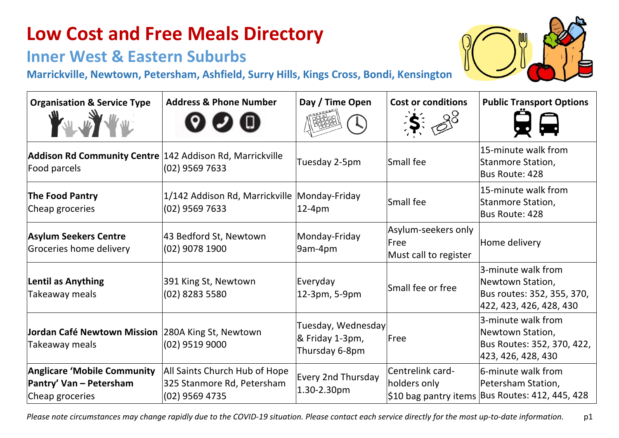#### **Inner West & Eastern Suburbs**

**Marrickville, Newtown, Petersham, Ashfield, Surry Hills, Kings Cross, Bondi, Kensington**

| <b>Organisation &amp; Service Type</b><br>W W W W W                              | <b>Address &amp; Phone Number</b>                                             | Day / Time Open                                         | <b>Cost or conditions</b><br>$\approx 8^\circ$       | <b>Public Transport Options</b>                                                                 |
|----------------------------------------------------------------------------------|-------------------------------------------------------------------------------|---------------------------------------------------------|------------------------------------------------------|-------------------------------------------------------------------------------------------------|
| Addison Rd Community Centre 142 Addison Rd, Marrickville<br>Food parcels         | (02) 9569 7633                                                                | Tuesday 2-5pm                                           | Small fee                                            | 15-minute walk from<br>Stanmore Station,<br>Bus Route: 428                                      |
| <b>The Food Pantry</b><br>Cheap groceries                                        | 1/142 Addison Rd, Marrickville Monday-Friday<br>$(02)$ 9569 7633              | 12-4pm                                                  | Small fee                                            | 15-minute walk from<br>Stanmore Station,<br>Bus Route: 428                                      |
| <b>Asylum Seekers Centre</b><br>Groceries home delivery                          | 43 Bedford St, Newtown<br>(02) 9078 1900                                      | Monday-Friday<br>9am-4pm                                | Asylum-seekers only<br>Free<br>Must call to register | Home delivery                                                                                   |
| <b>Lentil as Anything</b><br>Takeaway meals                                      | 391 King St, Newtown<br>(02) 8283 5580                                        | Everyday<br>12-3pm, 5-9pm                               | Small fee or free                                    | 3-minute walk from<br>Newtown Station,<br>Bus routes: 352, 355, 370,<br>422, 423, 426, 428, 430 |
| Jordan Café Newtown Mission 280A King St, Newtown<br>Takeaway meals              | $(02)$ 9519 9000                                                              | Tuesday, Wednesday<br>& Friday 1-3pm,<br>Thursday 6-8pm | Free                                                 | 3-minute walk from<br>Newtown Station,<br>Bus Routes: 352, 370, 422,<br>423, 426, 428, 430      |
| <b>Anglicare 'Mobile Community</b><br>Pantry' Van - Petersham<br>Cheap groceries | All Saints Church Hub of Hope<br>325 Stanmore Rd, Petersham<br>(02) 9569 4735 | <b>Every 2nd Thursday</b><br>1.30-2.30pm                | Centrelink card-<br>holders only                     | 6-minute walk from<br>Petersham Station,<br>\$10 bag pantry items Bus Routes: 412, 445, 428     |

*Please note circumstances may change rapidly due to the COVID-19 situation. Please contact each service directly for the most up-to-date information.* p1

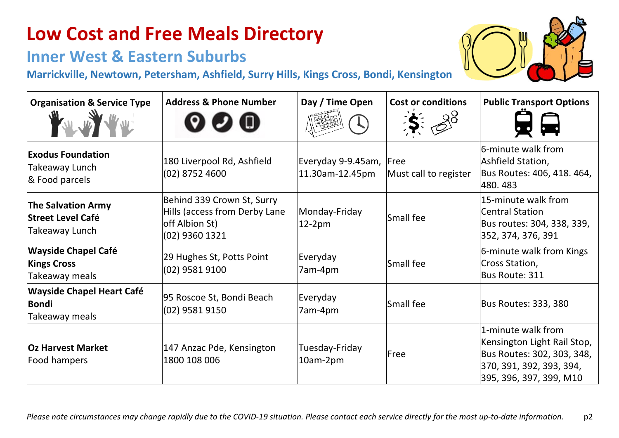### **Inner West & Eastern Suburbs**

**Marrickville, Newtown, Petersham, Ashfield, Surry Hills, Kings Cross, Bondi, Kensington**

| <b>Organisation &amp; Service Type</b>                                  | <b>Address &amp; Phone Number</b>                                                               | Day / Time Open                            | <b>Cost or conditions</b><br>88 | <b>Public Transport Options</b>                                                                                                        |
|-------------------------------------------------------------------------|-------------------------------------------------------------------------------------------------|--------------------------------------------|---------------------------------|----------------------------------------------------------------------------------------------------------------------------------------|
| <b>Exodus Foundation</b><br>Takeaway Lunch<br>& Food parcels            | 180 Liverpool Rd, Ashfield<br>$(02)$ 8752 4600                                                  | Everyday 9-9.45am, Free<br>11.30am-12.45pm | Must call to register           | 6-minute walk from<br>Ashfield Station,<br>Bus Routes: 406, 418. 464,<br>480.483                                                       |
| <b>The Salvation Army</b><br><b>Street Level Café</b><br>Takeaway Lunch | Behind 339 Crown St, Surry<br>Hills (access from Derby Lane<br>off Albion St)<br>(02) 9360 1321 | Monday-Friday<br>$12-2pm$                  | Small fee                       | 15-minute walk from<br>Central Station<br>Bus routes: 304, 338, 339,<br>352, 374, 376, 391                                             |
| <b>Wayside Chapel Café</b><br><b>Kings Cross</b><br>Takeaway meals      | 29 Hughes St, Potts Point<br>(02) 9581 9100                                                     | Everyday<br>7am-4pm                        | Small fee                       | 6-minute walk from Kings<br>Cross Station,<br>Bus Route: 311                                                                           |
| <b>Wayside Chapel Heart Café</b><br>Bondi<br>Takeaway meals             | 95 Roscoe St, Bondi Beach<br>(02) 9581 9150                                                     | Everyday<br>7am-4pm                        | Small fee                       | <b>Bus Routes: 333, 380</b>                                                                                                            |
| <b>Oz Harvest Market</b><br>Food hampers                                | 147 Anzac Pde, Kensington<br>1800 108 006                                                       | Tuesday-Friday<br>10am-2pm                 | Free                            | 1-minute walk from<br>Kensington Light Rail Stop,<br>Bus Routes: 302, 303, 348,<br>370, 391, 392, 393, 394,<br>395, 396, 397, 399, M10 |

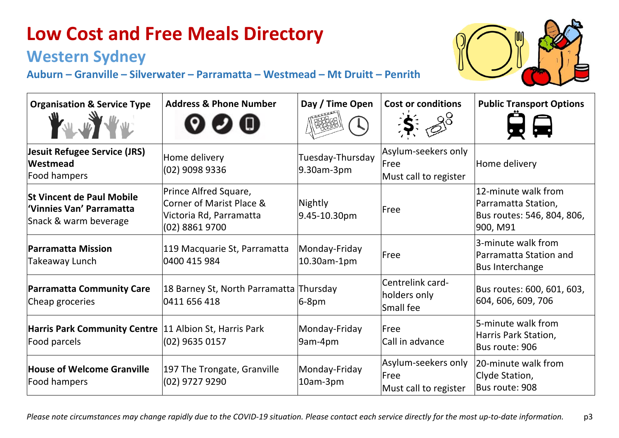### **Western Sydney**

**Auburn – Granville – Silverwater – Parramatta – Westmead – Mt Druitt – Penrith**



| <b>Organisation &amp; Service Type</b>                                               | <b>Address &amp; Phone Number</b>                                                              | Day / Time Open                | <b>Cost or conditions</b>                                    | <b>Public Transport Options</b>                                                      |
|--------------------------------------------------------------------------------------|------------------------------------------------------------------------------------------------|--------------------------------|--------------------------------------------------------------|--------------------------------------------------------------------------------------|
| Jesuit Refugee Service (JRS)<br><b>Westmead</b><br>Food hampers                      | Home delivery<br>(02) 9098 9336                                                                | Tuesday-Thursday<br>9.30am-3pm | Asylum-seekers only<br><b>lFree</b><br>Must call to register | Home delivery                                                                        |
| <b>St Vincent de Paul Mobile</b><br>Vinnies Van' Parramatta<br>Snack & warm beverage | Prince Alfred Square,<br>Corner of Marist Place &<br>Victoria Rd, Parramatta<br>(02) 8861 9700 | Nightly<br>9.45-10.30pm        | Free                                                         | 12-minute walk from<br>Parramatta Station,<br>Bus routes: 546, 804, 806,<br>900, M91 |
| <b>Parramatta Mission</b><br><b>Takeaway Lunch</b>                                   | 119 Macquarie St, Parramatta<br>0400 415 984                                                   | Monday-Friday<br>10.30am-1pm   | Free                                                         | 3-minute walk from<br><b>Parramatta Station and</b><br><b>Bus Interchange</b>        |
| <b>Parramatta Community Care</b><br>Cheap groceries                                  | 18 Barney St, North Parramatta Thursday<br>0411 656 418                                        | $6-8pm$                        | <b>Centrelink card-</b><br>holders only<br>Small fee         | Bus routes: 600, 601, 603,<br>604, 606, 609, 706                                     |
| Harris Park Community Centre  11 Albion St, Harris Park<br>Food parcels              | $(02)$ 9635 0157                                                                               | Monday-Friday<br>9am-4pm       | <b>Free</b><br>Call in advance                               | 5-minute walk from<br>Harris Park Station,<br>Bus route: 906                         |
| <b>House of Welcome Granville</b><br>Food hampers                                    | 197 The Trongate, Granville<br>(02) 9727 9290                                                  | Monday-Friday<br>10am-3pm      | Asylum-seekers only<br>Free<br>Must call to register         | 20-minute walk from<br>Clyde Station,<br>Bus route: 908                              |

*Please note circumstances may change rapidly due to the COVID-19 situation. Please contact each service directly for the most up-to-date information.* p3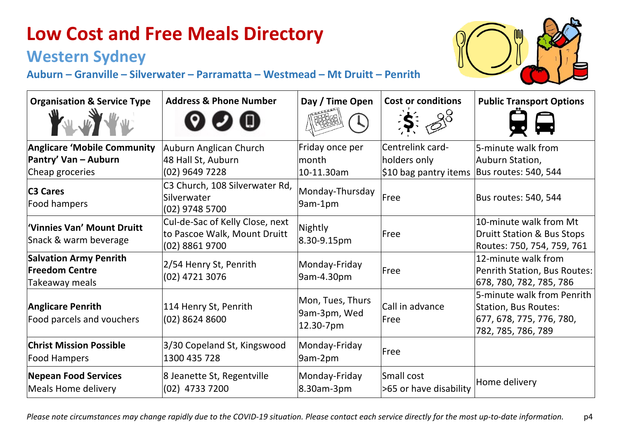### **Western Sydney**

**Auburn – Granville – Silverwater – Parramatta – Westmead – Mt Druitt – Penrith**



| <b>Organisation &amp; Service Type</b>                                        | <b>Address &amp; Phone Number</b>                                                 | Day / Time Open                               | <b>Cost or conditions</b>                                 | <b>Public Transport Options</b>                                                                             |
|-------------------------------------------------------------------------------|-----------------------------------------------------------------------------------|-----------------------------------------------|-----------------------------------------------------------|-------------------------------------------------------------------------------------------------------------|
| <b>Anglicare 'Mobile Community</b><br>Pantry' Van – Auburn<br>Cheap groceries | Auburn Anglican Church<br>48 Hall St, Auburn<br>(02) 9649 7228                    | Friday once per<br>lmonth<br>10-11.30am       | Centrelink card-<br>holders only<br>\$10 bag pantry items | 5-minute walk from<br>Auburn Station,<br>Bus routes: 540, 544                                               |
| <b>C3 Cares</b><br>Food hampers                                               | C3 Church, 108 Silverwater Rd,<br>Silverwater<br>$(02)$ 9748 5700                 | Monday-Thursday<br>9am-1pm                    | Free                                                      | Bus routes: 540, 544                                                                                        |
| "Vinnies Van' Mount Druitt<br>Snack & warm beverage                           | Cul-de-Sac of Kelly Close, next<br>to Pascoe Walk, Mount Druitt<br>(02) 8861 9700 | Nightly<br>8.30-9.15pm                        | Free                                                      | 10-minute walk from Mt<br><b>Druitt Station &amp; Bus Stops</b><br>Routes: 750, 754, 759, 761               |
| <b>Salvation Army Penrith</b><br><b>Freedom Centre</b><br>Takeaway meals      | 2/54 Henry St, Penrith<br>(02) 4721 3076                                          | Monday-Friday<br>9am-4.30pm                   | Free                                                      | 12-minute walk from<br>Penrith Station, Bus Routes:<br>678, 780, 782, 785, 786                              |
| <b>Anglicare Penrith</b><br>Food parcels and vouchers                         | 114 Henry St, Penrith<br>$(02)$ 8624 8600                                         | Mon, Tues, Thurs<br>9am-3pm, Wed<br>12.30-7pm | Call in advance<br>Free                                   | 5-minute walk from Penrith<br><b>Station, Bus Routes:</b><br>677, 678, 775, 776, 780,<br>782, 785, 786, 789 |
| <b>Christ Mission Possible</b><br><b>Food Hampers</b>                         | 3/30 Copeland St, Kingswood<br>1300 435 728                                       | Monday-Friday<br>9am-2pm                      | <b>Free</b>                                               |                                                                                                             |
| <b>Nepean Food Services</b><br>Meals Home delivery                            | 8 Jeanette St, Regentville<br>(02) 4733 7200                                      | Monday-Friday<br>8.30am-3pm                   | Small cost<br>>65 or have disability                      | Home delivery                                                                                               |

*Please note circumstances may change rapidly due to the COVID-19 situation. Please contact each service directly for the most up-to-date information.* p4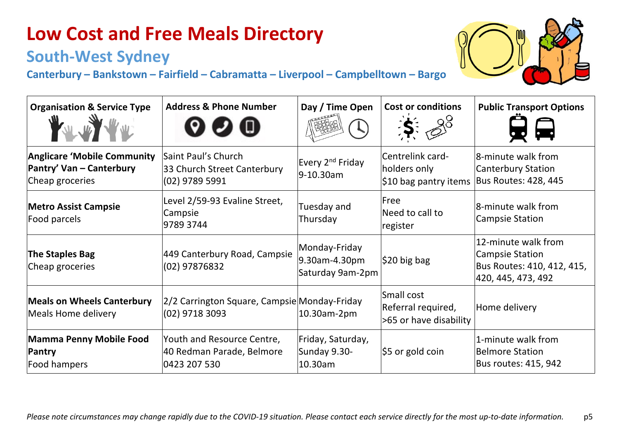### **South-West Sydney**

| <b>Organisation &amp; Service Type</b>                                            | <b>Address &amp; Phone Number</b>                                       | Day / Time Open                                    | <b>Cost or conditions</b><br>$\mathbf{K}$ : 28             | <b>Public Transport Options</b>                                                                   |
|-----------------------------------------------------------------------------------|-------------------------------------------------------------------------|----------------------------------------------------|------------------------------------------------------------|---------------------------------------------------------------------------------------------------|
| <b>Anglicare 'Mobile Community</b><br>Pantry' Van - Canterbury<br>Cheap groceries | Saint Paul's Church<br>33 Church Street Canterbury<br>(02) 9789 5991    | Every 2 <sup>nd</sup> Friday<br>9-10.30am          | Centrelink card-<br>holders only<br>\$10 bag pantry items  | 8-minute walk from<br>Canterbury Station<br><b>Bus Routes: 428, 445</b>                           |
| <b>Metro Assist Campsie</b><br>Food parcels                                       | Level 2/59-93 Evaline Street,<br>Campsie<br>9789 3744                   | Tuesday and<br>Thursday                            | Free<br>Need to call to<br>register                        | 8-minute walk from<br><b>Campsie Station</b>                                                      |
| <b>The Staples Bag</b><br>Cheap groceries                                         | 449 Canterbury Road, Campsie<br>(02) 97876832                           | Monday-Friday<br>9.30am-4.30pm<br>Saturday 9am-2pm | $ $ \$20 big bag                                           | 12-minute walk from<br><b>Campsie Station</b><br>Bus Routes: 410, 412, 415,<br>420, 445, 473, 492 |
| <b>Meals on Wheels Canterbury</b><br>Meals Home delivery                          | 2/2 Carrington Square, Campsie Monday-Friday<br>$(02)$ 9718 3093        | 10.30am-2pm                                        | Small cost<br>Referral required,<br>>65 or have disability | Home delivery                                                                                     |
| Mamma Penny Mobile Food<br>Pantry<br>Food hampers                                 | Youth and Resource Centre,<br>40 Redman Parade, Belmore<br>0423 207 530 | Friday, Saturday,<br>Sunday 9.30-<br>10.30am       | $ $ \$5 or gold coin                                       | 1-minute walk from<br>Belmore Station<br>Bus routes: 415, 942                                     |

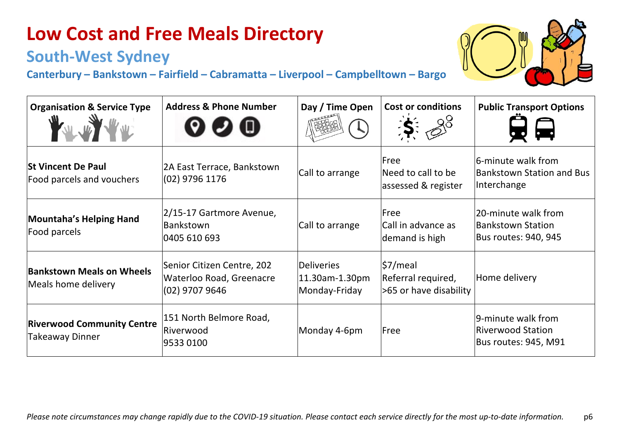### **South-West Sydney**

| <b>Organisation &amp; Service Type</b>                      | <b>Address &amp; Phone Number</b>                                        | Day / Time Open                                      | <b>Cost or conditions</b><br>$\mathscr{S}^8$             | <b>Public Transport Options</b>                                         |
|-------------------------------------------------------------|--------------------------------------------------------------------------|------------------------------------------------------|----------------------------------------------------------|-------------------------------------------------------------------------|
| <b>St Vincent De Paul</b><br>Food parcels and vouchers      | 2A East Terrace, Bankstown<br>$(02)$ 9796 1176                           | Call to arrange                                      | Free<br>Need to call to be<br>assessed & register        | 6-minute walk from<br><b>Bankstown Station and Bus</b><br>Interchange   |
| <b>Mountaha's Helping Hand</b><br>Food parcels              | 2/15-17 Gartmore Avenue,<br><b>Bankstown</b><br>0405 610 693             | Call to arrange                                      | Free<br>Call in advance as<br>demand is high             | 20-minute walk from<br><b>Bankstown Station</b><br>Bus routes: 940, 945 |
| <b>Bankstown Meals on Wheels</b><br>Meals home delivery     | Senior Citizen Centre, 202<br>Waterloo Road, Greenacre<br>(02) 9707 9646 | <b>Deliveries</b><br>11.30am-1.30pm<br>Monday-Friday | \$7/meal<br>Referral required,<br>>65 or have disability | Home delivery                                                           |
| <b>Riverwood Community Centre</b><br><b>Takeaway Dinner</b> | 151 North Belmore Road,<br>Riverwood<br>9533 0100                        | Monday 4-6pm                                         | Free                                                     | 9-minute walk from<br><b>Riverwood Station</b><br>Bus routes: 945, M91  |

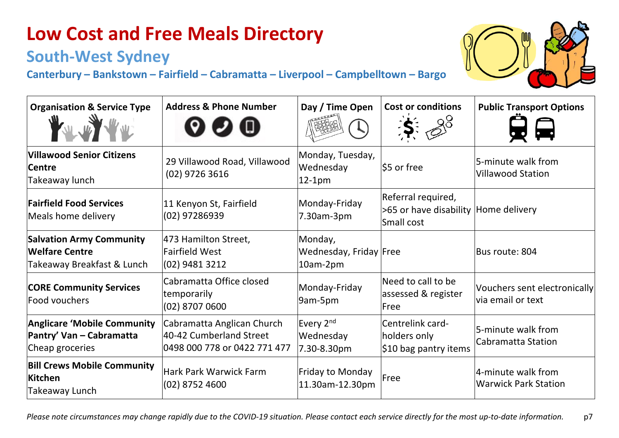### **South-West Sydney**

| <b>Organisation &amp; Service Type</b><br>W W W W                                      | <b>Address &amp; Phone Number</b>                                                     | Day / Time Open                                   | <b>Cost or conditions</b><br>$3^{8}$                                     | <b>Public Transport Options</b>                    |
|----------------------------------------------------------------------------------------|---------------------------------------------------------------------------------------|---------------------------------------------------|--------------------------------------------------------------------------|----------------------------------------------------|
| <b>Villawood Senior Citizens</b><br><b>Centre</b><br>Takeaway lunch                    | 29 Villawood Road, Villawood<br>(02) 9726 3616                                        | Monday, Tuesday,<br>Wednesday<br>$12-1pm$         | \$5 or free                                                              | 5-minute walk from<br><b>Villawood Station</b>     |
| <b>Fairfield Food Services</b><br>Meals home delivery                                  | 11 Kenyon St, Fairfield<br>$(02)$ 97286939                                            | Monday-Friday<br>7.30am-3pm                       | Referral required,<br>>65 or have disability Home delivery<br>Small cost |                                                    |
| <b>Salvation Army Community</b><br><b>Welfare Centre</b><br>Takeaway Breakfast & Lunch | 473 Hamilton Street,<br><b>Fairfield West</b><br>$(02)$ 9481 3212                     | Monday,<br>Wednesday, Friday Free<br>10am-2pm     |                                                                          | Bus route: 804                                     |
| <b>CORE Community Services</b><br>Food vouchers                                        | Cabramatta Office closed<br>temporarily<br>$(02)$ 8707 0600                           | Monday-Friday<br>9am-5pm                          | Need to call to be<br>assessed & register<br>lFree                       | Vouchers sent electronically<br>lvia email or text |
| Anglicare 'Mobile Community<br>Pantry' Van - Cabramatta<br>Cheap groceries             | Cabramatta Anglican Church<br>40-42 Cumberland Street<br>0498 000 778 or 0422 771 477 | Every 2 <sup>nd</sup><br>Wednesday<br>7.30-8.30pm | <b>Centrelink card-</b><br>holders only<br>\$10 bag pantry items         | 5-minute walk from<br>Cabramatta Station           |
| <b>Bill Crews Mobile Community</b><br><b>Kitchen</b><br>Takeaway Lunch                 | <b>Hark Park Warwick Farm</b><br>$(02)$ 8752 4600                                     | Friday to Monday<br>11.30am-12.30pm               | Free                                                                     | 4-minute walk from<br>Warwick Park Station         |

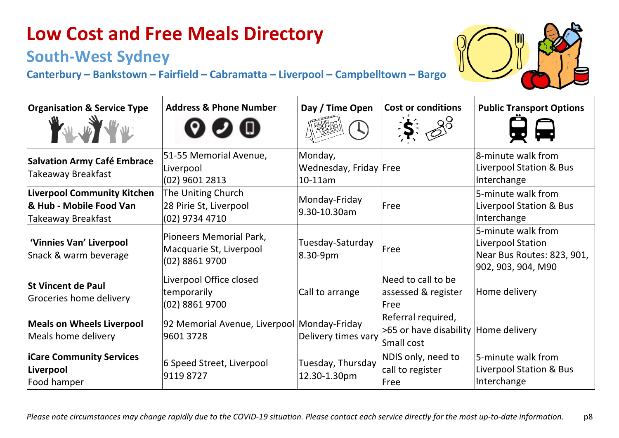### **South-West Sydney**

| <b>Organisation &amp; Service Type</b>                                              | <b>Address &amp; Phone Number</b>                                      | Day / Time Open                                 | <b>Cost or conditions</b><br>98                                          | <b>Public Transport Options</b>                                                             |
|-------------------------------------------------------------------------------------|------------------------------------------------------------------------|-------------------------------------------------|--------------------------------------------------------------------------|---------------------------------------------------------------------------------------------|
| <b>Salvation Army Café Embrace</b><br>Takeaway Breakfast                            | 51-55 Memorial Avenue,<br>Liverpool<br>(02) 9601 2813                  | Monday,<br>Wednesday, Friday Free<br>$10-11$ am |                                                                          | 8-minute walk from<br>Liverpool Station & Bus<br>Interchange                                |
| <b>Liverpool Community Kitchen</b><br>& Hub - Mobile Food Van<br>Takeaway Breakfast | The Uniting Church<br>28 Pirie St, Liverpool<br>(02) 9734 4710         | Monday-Friday<br>9.30-10.30am                   | Free                                                                     | 5-minute walk from<br>Liverpool Station & Bus<br>Interchange                                |
| 'Vinnies Van' Liverpool<br>Snack & warm beverage                                    | Pioneers Memorial Park,<br>Macquarie St, Liverpool<br>$(02)$ 8861 9700 | Tuesday-Saturday<br>8.30-9pm                    | Free                                                                     | 5-minute walk from<br>Liverpool Station<br>Near Bus Routes: 823, 901,<br>902, 903, 904, M90 |
| <b>St Vincent de Paul</b><br>Groceries home delivery                                | Liverpool Office closed<br>temporarily<br>(02) 8861 9700               | Call to arrange                                 | Need to call to be<br>assessed & register<br>Free                        | Home delivery                                                                               |
| <b>Meals on Wheels Liverpool</b><br>Meals home delivery                             | 92 Memorial Avenue, Liverpool Monday-Friday<br>9601 3728               | Delivery times vary                             | Referral required,<br>>65 or have disability Home delivery<br>Small cost |                                                                                             |
| <b>iCare Community Services</b><br>Liverpool<br>Food hamper                         | 6 Speed Street, Liverpool<br>91198727                                  | Tuesday, Thursday<br>12.30-1.30pm               | NDIS only, need to<br>call to register<br>Free                           | 5-minute walk from<br>Liverpool Station & Bus<br>Interchange                                |

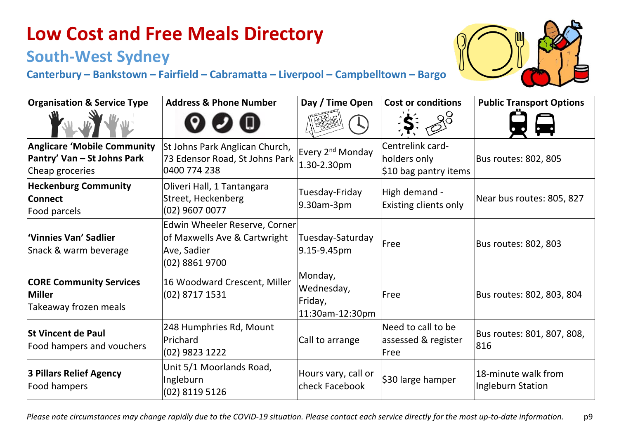### **South-West Sydney**

| <b>Organisation &amp; Service Type</b>                                               | <b>Address &amp; Phone Number</b>                                                                | Day / Time Open                                     | <b>Cost or conditions</b>                                 | <b>Public Transport Options</b>          |
|--------------------------------------------------------------------------------------|--------------------------------------------------------------------------------------------------|-----------------------------------------------------|-----------------------------------------------------------|------------------------------------------|
|                                                                                      |                                                                                                  |                                                     |                                                           |                                          |
| <b>Anglicare 'Mobile Community</b><br>Pantry' Van – St Johns Park<br>Cheap groceries | St Johns Park Anglican Church,<br>73 Edensor Road, St Johns Park<br>0400 774 238                 | Every 2 <sup>nd</sup> Monday<br>1.30-2.30pm         | Centrelink card-<br>holders only<br>\$10 bag pantry items | Bus routes: 802, 805                     |
| <b>Heckenburg Community</b><br><b>Connect</b><br>Food parcels                        | Oliveri Hall, 1 Tantangara<br>Street, Heckenberg<br>$(02)$ 9607 0077                             | Tuesday-Friday<br>9.30am-3pm                        | High demand -<br><b>Existing clients only</b>             | Near bus routes: 805, 827                |
| 'Vinnies Van' Sadlier<br>Snack & warm beverage                                       | Edwin Wheeler Reserve, Corner<br>of Maxwells Ave & Cartwright<br>Ave, Sadier<br>$(02)$ 8861 9700 | Tuesday-Saturday<br>9.15-9.45pm                     | Free                                                      | Bus routes: 802, 803                     |
| <b>CORE Community Services</b><br>Miller<br>Takeaway frozen meals                    | 16 Woodward Crescent, Miller<br>(02) 8717 1531                                                   | Monday,<br>Wednesday,<br>Friday,<br>11:30am-12:30pm | <b>lFree</b>                                              | Bus routes: 802, 803, 804                |
| <b>St Vincent de Paul</b><br>Food hampers and vouchers                               | 248 Humphries Rd, Mount<br>Prichard<br>(02) 9823 1222                                            | Call to arrange                                     | Need to call to be<br>assessed & register<br>Free         | Bus routes: 801, 807, 808,<br>816        |
| 3 Pillars Relief Agency<br>Food hampers                                              | Unit 5/1 Moorlands Road,<br>Ingleburn<br>(02) 8119 5126                                          | Hours vary, call or<br>check Facebook               | \$30 large hamper                                         | 18-minute walk from<br>Ingleburn Station |